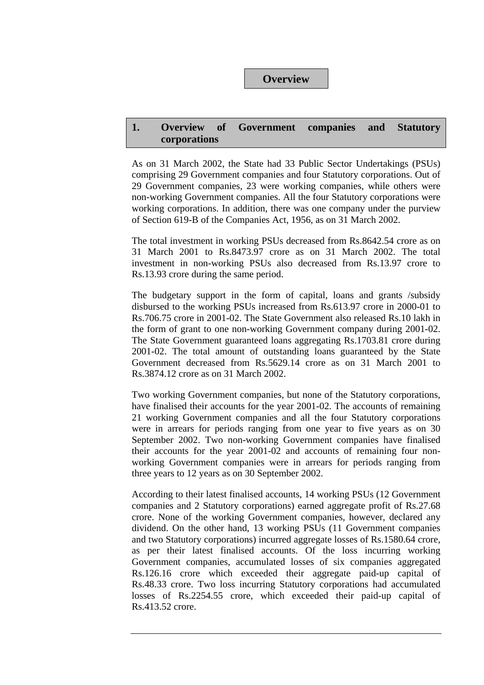#### **Overview**

#### **1. Overview of Government companies and Statutory corporations**

As on 31 March 2002, the State had 33 Public Sector Undertakings (PSUs) comprising 29 Government companies and four Statutory corporations. Out of 29 Government companies, 23 were working companies, while others were non-working Government companies. All the four Statutory corporations were working corporations. In addition, there was one company under the purview of Section 619-B of the Companies Act, 1956, as on 31 March 2002.

The total investment in working PSUs decreased from Rs.8642.54 crore as on 31 March 2001 to Rs.8473.97 crore as on 31 March 2002. The total investment in non-working PSUs also decreased from Rs.13.97 crore to Rs.13.93 crore during the same period.

The budgetary support in the form of capital, loans and grants /subsidy disbursed to the working PSUs increased from Rs.613.97 crore in 2000-01 to Rs.706.75 crore in 2001-02. The State Government also released Rs.10 lakh in the form of grant to one non-working Government company during 2001-02. The State Government guaranteed loans aggregating Rs.1703.81 crore during 2001-02. The total amount of outstanding loans guaranteed by the State Government decreased from Rs.5629.14 crore as on 31 March 2001 to Rs.3874.12 crore as on 31 March 2002.

Two working Government companies, but none of the Statutory corporations, have finalised their accounts for the year 2001-02. The accounts of remaining 21 working Government companies and all the four Statutory corporations were in arrears for periods ranging from one year to five years as on 30 September 2002. Two non-working Government companies have finalised their accounts for the year 2001-02 and accounts of remaining four nonworking Government companies were in arrears for periods ranging from three years to 12 years as on 30 September 2002.

According to their latest finalised accounts, 14 working PSUs (12 Government companies and 2 Statutory corporations) earned aggregate profit of Rs.27.68 crore. None of the working Government companies, however, declared any dividend. On the other hand, 13 working PSUs (11 Government companies and two Statutory corporations) incurred aggregate losses of Rs.1580.64 crore, as per their latest finalised accounts. Of the loss incurring working Government companies, accumulated losses of six companies aggregated Rs.126.16 crore which exceeded their aggregate paid-up capital of Rs.48.33 crore. Two loss incurring Statutory corporations had accumulated losses of Rs.2254.55 crore, which exceeded their paid-up capital of Rs.413.52 crore.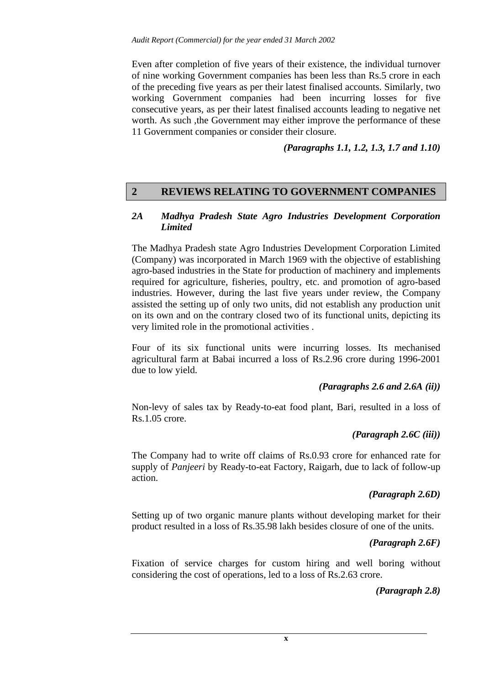Even after completion of five years of their existence, the individual turnover of nine working Government companies has been less than Rs.5 crore in each of the preceding five years as per their latest finalised accounts. Similarly, two working Government companies had been incurring losses for five consecutive years, as per their latest finalised accounts leading to negative net worth. As such , the Government may either improve the performance of these 11 Government companies or consider their closure.

*(Paragraphs 1.1, 1.2, 1.3, 1.7 and 1.10)* 

# **2 REVIEWS RELATING TO GOVERNMENT COMPANIES**

#### *2A Madhya Pradesh State Agro Industries Development Corporation Limited*

The Madhya Pradesh state Agro Industries Development Corporation Limited (Company) was incorporated in March 1969 with the objective of establishing agro-based industries in the State for production of machinery and implements required for agriculture, fisheries, poultry, etc. and promotion of agro-based industries. However, during the last five years under review, the Company assisted the setting up of only two units, did not establish any production unit on its own and on the contrary closed two of its functional units, depicting its very limited role in the promotional activities .

Four of its six functional units were incurring losses. Its mechanised agricultural farm at Babai incurred a loss of Rs.2.96 crore during 1996-2001 due to low yield.

#### *(Paragraphs 2.6 and 2.6A (ii))*

Non-levy of sales tax by Ready-to-eat food plant, Bari, resulted in a loss of Rs.1.05 crore.

#### *(Paragraph 2.6C (iii))*

The Company had to write off claims of Rs.0.93 crore for enhanced rate for supply of *Panjeeri* by Ready-to-eat Factory, Raigarh, due to lack of follow-up action.

### *(Paragraph 2.6D)*

Setting up of two organic manure plants without developing market for their product resulted in a loss of Rs.35.98 lakh besides closure of one of the units.

#### *(Paragraph 2.6F)*

Fixation of service charges for custom hiring and well boring without considering the cost of operations, led to a loss of Rs.2.63 crore.

#### *(Paragraph 2.8)*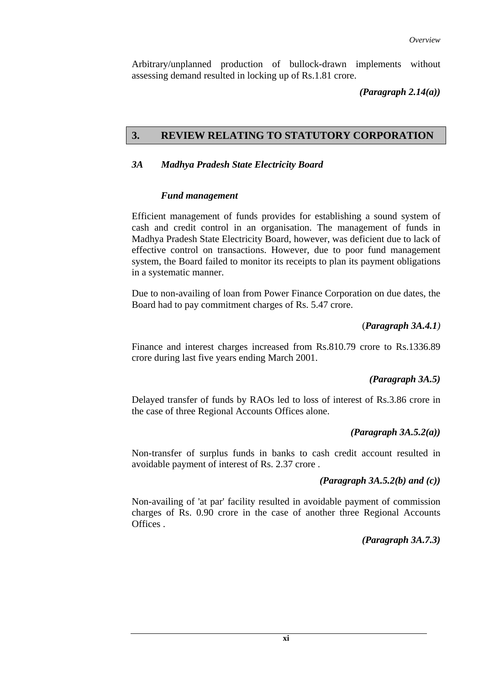Arbitrary/unplanned production of bullock-drawn implements without assessing demand resulted in locking up of Rs.1.81 crore.

*(Paragraph 2.14(a))* 

### **3. REVIEW RELATING TO STATUTORY CORPORATION**

#### *3A Madhya Pradesh State Electricity Board*

#### *Fund management*

Efficient management of funds provides for establishing a sound system of cash and credit control in an organisation. The management of funds in Madhya Pradesh State Electricity Board, however, was deficient due to lack of effective control on transactions. However, due to poor fund management system, the Board failed to monitor its receipts to plan its payment obligations in a systematic manner.

Due to non-availing of loan from Power Finance Corporation on due dates, the Board had to pay commitment charges of Rs. 5.47 crore.

#### (*Paragraph 3A.4.1)*

Finance and interest charges increased from Rs.810.79 crore to Rs.1336.89 crore during last five years ending March 2001.

### *(Paragraph 3A.5)*

Delayed transfer of funds by RAOs led to loss of interest of Rs.3.86 crore in the case of three Regional Accounts Offices alone.

#### *(Paragraph 3A.5.2(a))*

Non-transfer of surplus funds in banks to cash credit account resulted in avoidable payment of interest of Rs. 2.37 crore .

*(Paragraph 3A.5.2(b) and (c))* 

Non-availing of 'at par' facility resulted in avoidable payment of commission charges of Rs. 0.90 crore in the case of another three Regional Accounts Offices .

#### *(Paragraph 3A.7.3)*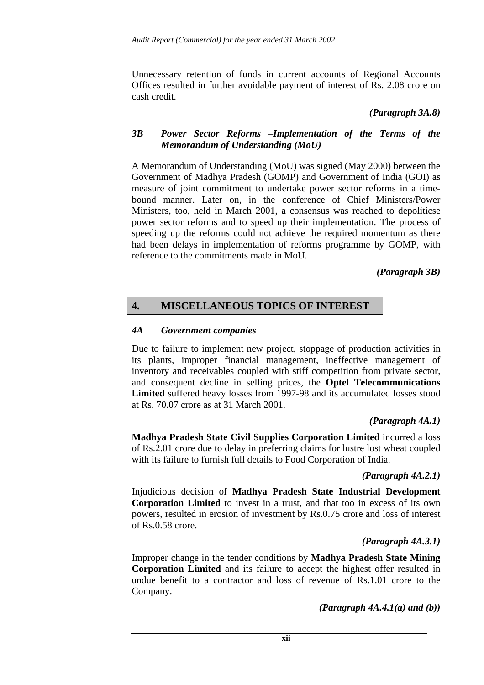Unnecessary retention of funds in current accounts of Regional Accounts Offices resulted in further avoidable payment of interest of Rs. 2.08 crore on cash credit.

#### *(Paragraph 3A.8)*

#### *3B Power Sector Reforms –Implementation of the Terms of the Memorandum of Understanding (MoU)*

A Memorandum of Understanding (MoU) was signed (May 2000) between the Government of Madhya Pradesh (GOMP) and Government of India (GOI) as measure of joint commitment to undertake power sector reforms in a timebound manner. Later on, in the conference of Chief Ministers/Power Ministers, too, held in March 2001, a consensus was reached to depoliticse power sector reforms and to speed up their implementation. The process of speeding up the reforms could not achieve the required momentum as there had been delays in implementation of reforms programme by GOMP, with reference to the commitments made in MoU.

#### *(Paragraph 3B)*

# **4. MISCELLANEOUS TOPICS OF INTEREST**

#### *4A Government companies*

Due to failure to implement new project, stoppage of production activities in its plants, improper financial management, ineffective management of inventory and receivables coupled with stiff competition from private sector, and consequent decline in selling prices, the **Optel Telecommunications Limited** suffered heavy losses from 1997-98 and its accumulated losses stood at Rs. 70.07 crore as at 31 March 2001.

#### *(Paragraph 4A.1)*

**Madhya Pradesh State Civil Supplies Corporation Limited** incurred a loss of Rs.2.01 crore due to delay in preferring claims for lustre lost wheat coupled with its failure to furnish full details to Food Corporation of India.

#### *(Paragraph 4A.2.1)*

Injudicious decision of **Madhya Pradesh State Industrial Development Corporation Limited** to invest in a trust, and that too in excess of its own powers, resulted in erosion of investment by Rs.0.75 crore and loss of interest of Rs.0.58 crore.

#### *(Paragraph 4A.3.1)*

Improper change in the tender conditions by **Madhya Pradesh State Mining Corporation Limited** and its failure to accept the highest offer resulted in undue benefit to a contractor and loss of revenue of Rs.1.01 crore to the Company.

*(Paragraph 4A.4.1(a) and (b))*